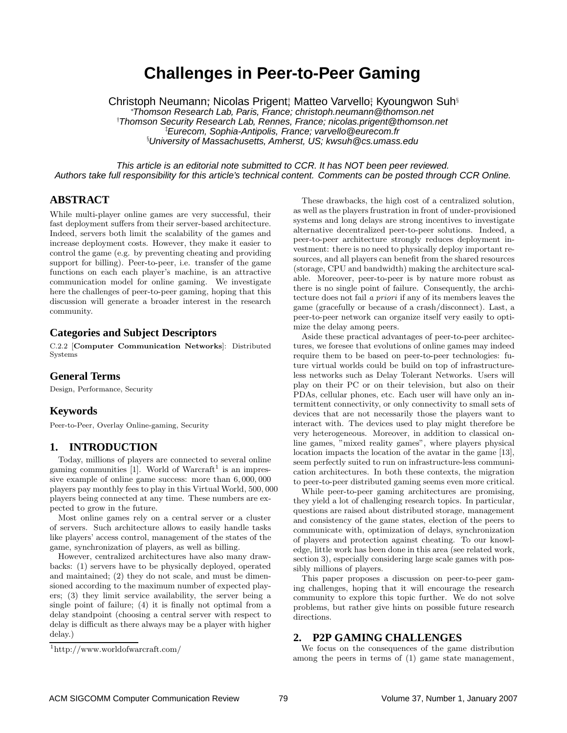# **Challenges in Peer-to-Peer Gaming**

Christoph Neumann; Nicolas Prigent; Matteo Varvello; Kyoungwon Suh<sup>§</sup> ∗ Thomson Research Lab, Paris, France; christoph.neumann@thomson.net † Thomson Security Research Lab, Rennes, France; nicolas.prigent@thomson.net ‡ Eurecom, Sophia-Antipolis, France; varvello@eurecom.fr § University of Massachusetts, Amherst, US; kwsuh@cs.umass.edu

This article is an editorial note submitted to CCR. It has NOT been peer reviewed. Authors take full responsibility for this article's technical content. Comments can be posted through CCR Online.

# **ABSTRACT**

While multi-player online games are very successful, their fast deployment suffers from their server-based architecture. Indeed, servers both limit the scalability of the games and increase deployment costs. However, they make it easier to control the game (e.g. by preventing cheating and providing support for billing). Peer-to-peer, i.e. transfer of the game functions on each each player's machine, is an attractive communication model for online gaming. We investigate here the challenges of peer-to-peer gaming, hoping that this discussion will generate a broader interest in the research community.

## **Categories and Subject Descriptors**

C.2.2 [Computer Communication Networks]: Distributed Systems

# **General Terms**

Design, Performance, Security

## **Keywords**

Peer-to-Peer, Overlay Online-gaming, Security

#### **1. INTRODUCTION**

Today, millions of players are connected to several online gaming communities  $[1]$ . World of Warcraft<sup>1</sup> is an impressive example of online game success: more than 6, 000, 000 players pay monthly fees to play in this Virtual World, 500, 000 players being connected at any time. These numbers are expected to grow in the future.

Most online games rely on a central server or a cluster of servers. Such architecture allows to easily handle tasks like players' access control, management of the states of the game, synchronization of players, as well as billing.

However, centralized architectures have also many drawbacks: (1) servers have to be physically deployed, operated and maintained; (2) they do not scale, and must be dimensioned according to the maximum number of expected players; (3) they limit service availability, the server being a single point of failure; (4) it is finally not optimal from a delay standpoint (choosing a central server with respect to delay is difficult as there always may be a player with higher delay.)

These drawbacks, the high cost of a centralized solution, as well as the players frustration in front of under-provisioned systems and long delays are strong incentives to investigate alternative decentralized peer-to-peer solutions. Indeed, a peer-to-peer architecture strongly reduces deployment investment: there is no need to physically deploy important resources, and all players can benefit from the shared resources (storage, CPU and bandwidth) making the architecture scalable. Moreover, peer-to-peer is by nature more robust as there is no single point of failure. Consequently, the architecture does not fail a priori if any of its members leaves the game (gracefully or because of a crash/disconnect). Last, a peer-to-peer network can organize itself very easily to optimize the delay among peers.

Aside these practical advantages of peer-to-peer architectures, we foresee that evolutions of online games may indeed require them to be based on peer-to-peer technologies: future virtual worlds could be build on top of infrastructureless networks such as Delay Tolerant Networks. Users will play on their PC or on their television, but also on their PDAs, cellular phones, etc. Each user will have only an intermittent connectivity, or only connectivity to small sets of devices that are not necessarily those the players want to interact with. The devices used to play might therefore be very heterogeneous. Moreover, in addition to classical online games, "mixed reality games", where players physical location impacts the location of the avatar in the game [13], seem perfectly suited to run on infrastructure-less communication architectures. In both these contexts, the migration to peer-to-peer distributed gaming seems even more critical.

While peer-to-peer gaming architectures are promising, they yield a lot of challenging research topics. In particular, questions are raised about distributed storage, management and consistency of the game states, election of the peers to communicate with, optimization of delays, synchronization of players and protection against cheating. To our knowledge, little work has been done in this area (see related work, section 3), especially considering large scale games with possibly millions of players.

This paper proposes a discussion on peer-to-peer gaming challenges, hoping that it will encourage the research community to explore this topic further. We do not solve problems, but rather give hints on possible future research directions.

# **2. P2P GAMING CHALLENGES**

We focus on the consequences of the game distribution among the peers in terms of (1) game state management,

 $\mathrm{^{1}http://www.worldofwarcraft.com/}$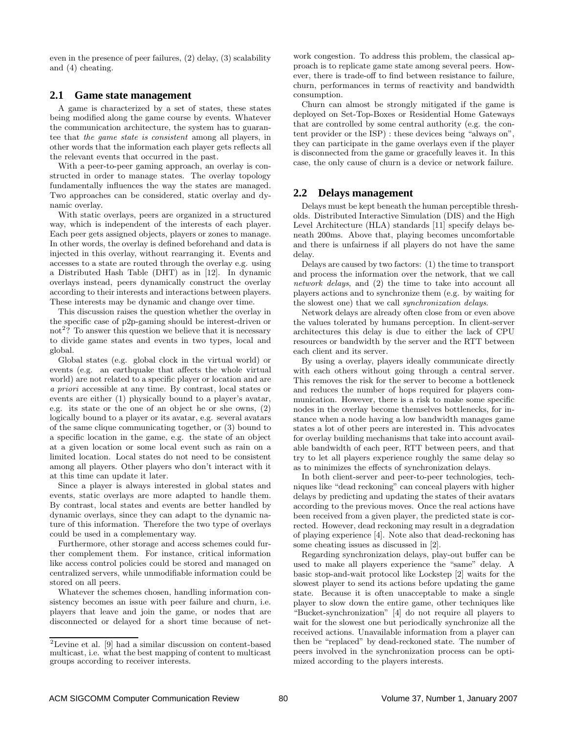even in the presence of peer failures, (2) delay, (3) scalability and (4) cheating.

## **2.1 Game state management**

A game is characterized by a set of states, these states being modified along the game course by events. Whatever the communication architecture, the system has to guarantee that the game state is consistent among all players, in other words that the information each player gets reflects all the relevant events that occurred in the past.

With a peer-to-peer gaming approach, an overlay is constructed in order to manage states. The overlay topology fundamentally influences the way the states are managed. Two approaches can be considered, static overlay and dynamic overlay.

With static overlays, peers are organized in a structured way, which is independent of the interests of each player. Each peer gets assigned objects, players or zones to manage. In other words, the overlay is defined beforehand and data is injected in this overlay, without rearranging it. Events and accesses to a state are routed through the overlay e.g. using a Distributed Hash Table (DHT) as in [12]. In dynamic overlays instead, peers dynamically construct the overlay according to their interests and interactions between players. These interests may be dynamic and change over time.

This discussion raises the question whether the overlay in the specific case of p2p-gaming should be interest-driven or not<sup>2</sup>? To answer this question we believe that it is necessary to divide game states and events in two types, local and global.

Global states (e.g. global clock in the virtual world) or events (e.g. an earthquake that affects the whole virtual world) are not related to a specific player or location and are a priori accessible at any time. By contrast, local states or events are either (1) physically bound to a player's avatar, e.g. its state or the one of an object he or she owns, (2) logically bound to a player or its avatar, e.g. several avatars of the same clique communicating together, or (3) bound to a specific location in the game, e.g. the state of an object at a given location or some local event such as rain on a limited location. Local states do not need to be consistent among all players. Other players who don't interact with it at this time can update it later.

Since a player is always interested in global states and events, static overlays are more adapted to handle them. By contrast, local states and events are better handled by dynamic overlays, since they can adapt to the dynamic nature of this information. Therefore the two type of overlays could be used in a complementary way.

Furthermore, other storage and access schemes could further complement them. For instance, critical information like access control policies could be stored and managed on centralized servers, while unmodifiable information could be stored on all peers.

Whatever the schemes chosen, handling information consistency becomes an issue with peer failure and churn, i.e. players that leave and join the game, or nodes that are disconnected or delayed for a short time because of network congestion. To address this problem, the classical approach is to replicate game state among several peers. However, there is trade-off to find between resistance to failure, churn, performances in terms of reactivity and bandwidth consumption.

Churn can almost be strongly mitigated if the game is deployed on Set-Top-Boxes or Residential Home Gateways that are controlled by some central authority (e.g. the content provider or the ISP) : these devices being "always on", they can participate in the game overlays even if the player is disconnected from the game or gracefully leaves it. In this case, the only cause of churn is a device or network failure.

#### **2.2 Delays management**

Delays must be kept beneath the human perceptible thresholds. Distributed Interactive Simulation (DIS) and the High Level Architecture (HLA) standards [11] specify delays beneath 200ms. Above that, playing becomes uncomfortable and there is unfairness if all players do not have the same delay.

Delays are caused by two factors: (1) the time to transport and process the information over the network, that we call network delays, and  $(2)$  the time to take into account all players actions and to synchronize them (e.g. by waiting for the slowest one) that we call synchronization delays.

Network delays are already often close from or even above the values tolerated by humans perception. In client-server architectures this delay is due to either the lack of CPU resources or bandwidth by the server and the RTT between each client and its server.

By using a overlay, players ideally communicate directly with each others without going through a central server. This removes the risk for the server to become a bottleneck and reduces the number of hops required for players communication. However, there is a risk to make some specific nodes in the overlay become themselves bottlenecks, for instance when a node having a low bandwidth manages game states a lot of other peers are interested in. This advocates for overlay building mechanisms that take into account available bandwidth of each peer, RTT between peers, and that try to let all players experience roughly the same delay so as to minimizes the effects of synchronization delays.

In both client-server and peer-to-peer technologies, techniques like "dead reckoning" can conceal players with higher delays by predicting and updating the states of their avatars according to the previous moves. Once the real actions have been received from a given player, the predicted state is corrected. However, dead reckoning may result in a degradation of playing experience [4]. Note also that dead-reckoning has some cheating issues as discussed in [2].

Regarding synchronization delays, play-out buffer can be used to make all players experience the "same" delay. A basic stop-and-wait protocol like Lockstep [2] waits for the slowest player to send its actions before updating the game state. Because it is often unacceptable to make a single player to slow down the entire game, other techniques like "Bucket-synchronization" [4] do not require all players to wait for the slowest one but periodically synchronize all the received actions. Unavailable information from a player can then be "replaced" by dead-reckoned state. The number of peers involved in the synchronization process can be optimized according to the players interests.

 $^2$  Levine et al.  $\left[ 9\right]$  had a similar discussion on content-based multicast, i.e. what the best mapping of content to multicast groups according to receiver interests.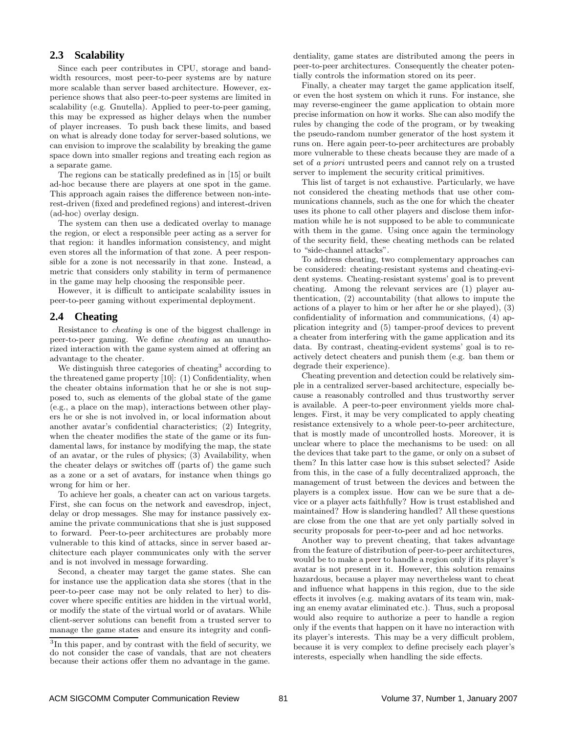# **2.3 Scalability**

Since each peer contributes in CPU, storage and bandwidth resources, most peer-to-peer systems are by nature more scalable than server based architecture. However, experience shows that also peer-to-peer systems are limited in scalability (e.g. Gnutella). Applied to peer-to-peer gaming, this may be expressed as higher delays when the number of player increases. To push back these limits, and based on what is already done today for server-based solutions, we can envision to improve the scalability by breaking the game space down into smaller regions and treating each region as a separate game.

The regions can be statically predefined as in [15] or built ad-hoc because there are players at one spot in the game. This approach again raises the difference between non-interest-driven (fixed and predefined regions) and interest-driven (ad-hoc) overlay design.

The system can then use a dedicated overlay to manage the region, or elect a responsible peer acting as a server for that region: it handles information consistency, and might even stores all the information of that zone. A peer responsible for a zone is not necessarily in that zone. Instead, a metric that considers only stability in term of permanence in the game may help choosing the responsible peer.

However, it is difficult to anticipate scalability issues in peer-to-peer gaming without experimental deployment.

#### **2.4 Cheating**

Resistance to cheating is one of the biggest challenge in peer-to-peer gaming. We define cheating as an unauthorized interaction with the game system aimed at offering an advantage to the cheater.

We distinguish three categories of cheating<sup>3</sup> according to the threatened game property [10]: (1) Confidentiality, when the cheater obtains information that he or she is not supposed to, such as elements of the global state of the game (e.g., a place on the map), interactions between other players he or she is not involved in, or local information about another avatar's confidential characteristics; (2) Integrity, when the cheater modifies the state of the game or its fundamental laws, for instance by modifying the map, the state of an avatar, or the rules of physics; (3) Availability, when the cheater delays or switches off (parts of) the game such as a zone or a set of avatars, for instance when things go wrong for him or her.

To achieve her goals, a cheater can act on various targets. First, she can focus on the network and eavesdrop, inject, delay or drop messages. She may for instance passively examine the private communications that she is just supposed to forward. Peer-to-peer architectures are probably more vulnerable to this kind of attacks, since in server based architecture each player communicates only with the server and is not involved in message forwarding.

Second, a cheater may target the game states. She can for instance use the application data she stores (that in the peer-to-peer case may not be only related to her) to discover where specific entities are hidden in the virtual world, or modify the state of the virtual world or of avatars. While client-server solutions can benefit from a trusted server to manage the game states and ensure its integrity and confidentiality, game states are distributed among the peers in peer-to-peer architectures. Consequently the cheater potentially controls the information stored on its peer.

Finally, a cheater may target the game application itself, or even the host system on which it runs. For instance, she may reverse-engineer the game application to obtain more precise information on how it works. She can also modify the rules by changing the code of the program, or by tweaking the pseudo-random number generator of the host system it runs on. Here again peer-to-peer architectures are probably more vulnerable to these cheats because they are made of a set of a priori untrusted peers and cannot rely on a trusted server to implement the security critical primitives.

This list of target is not exhaustive. Particularly, we have not considered the cheating methods that use other communications channels, such as the one for which the cheater uses its phone to call other players and disclose them information while he is not supposed to be able to communicate with them in the game. Using once again the terminology of the security field, these cheating methods can be related to "side-channel attacks".

To address cheating, two complementary approaches can be considered: cheating-resistant systems and cheating-evident systems. Cheating-resistant systems' goal is to prevent cheating. Among the relevant services are (1) player authentication, (2) accountability (that allows to impute the actions of a player to him or her after he or she played), (3) confidentiality of information and communications, (4) application integrity and (5) tamper-proof devices to prevent a cheater from interfering with the game application and its data. By contrast, cheating-evident systems' goal is to reactively detect cheaters and punish them (e.g. ban them or degrade their experience).

Cheating prevention and detection could be relatively simple in a centralized server-based architecture, especially because a reasonably controlled and thus trustworthy server is available. A peer-to-peer environment yields more challenges. First, it may be very complicated to apply cheating resistance extensively to a whole peer-to-peer architecture, that is mostly made of uncontrolled hosts. Moreover, it is unclear where to place the mechanisms to be used: on all the devices that take part to the game, or only on a subset of them? In this latter case how is this subset selected? Aside from this, in the case of a fully decentralized approach, the management of trust between the devices and between the players is a complex issue. How can we be sure that a device or a player acts faithfully? How is trust established and maintained? How is slandering handled? All these questions are close from the one that are yet only partially solved in security proposals for peer-to-peer and ad hoc networks.

Another way to prevent cheating, that takes advantage from the feature of distribution of peer-to-peer architectures, would be to make a peer to handle a region only if its player's avatar is not present in it. However, this solution remains hazardous, because a player may nevertheless want to cheat and influence what happens in this region, due to the side effects it involves (e.g. making avatars of its team win, making an enemy avatar eliminated etc.). Thus, such a proposal would also require to authorize a peer to handle a region only if the events that happen on it have no interaction with its player's interests. This may be a very difficult problem, because it is very complex to define precisely each player's interests, especially when handling the side effects.

<sup>3</sup> In this paper, and by contrast with the field of security, we do not consider the case of vandals, that are not cheaters because their actions offer them no advantage in the game.